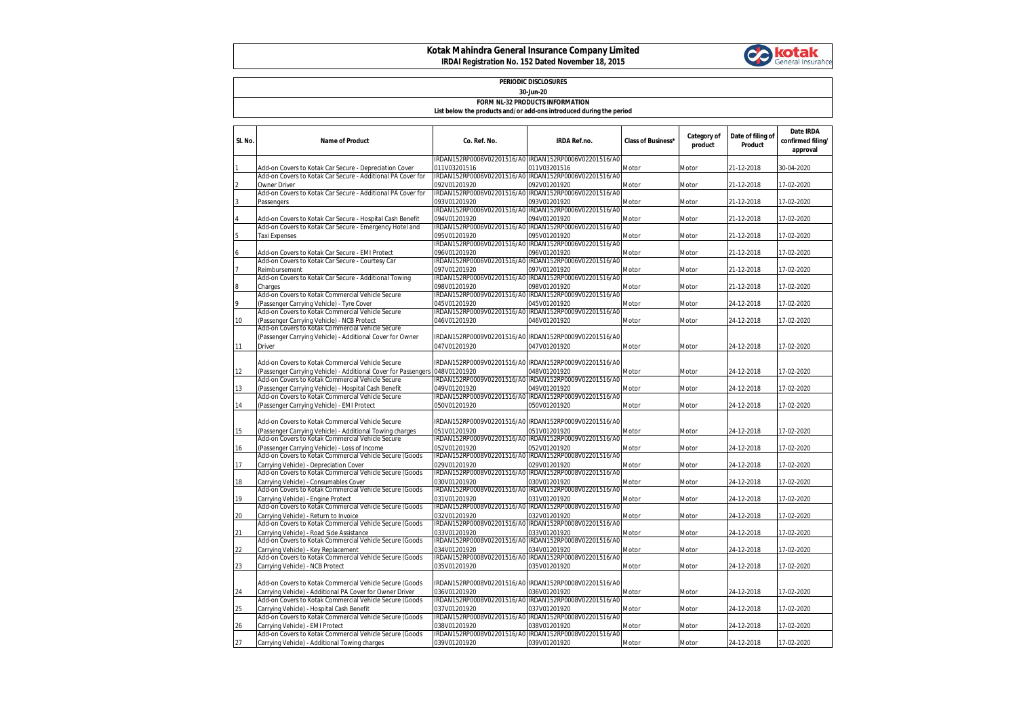## **Kotak Mahindra General Insurance Company Limited IRDAI Registration No. 152 Dated November 18, 2015**



| PERIODIC DISCLOSURES<br>30-Jun-20      |                                                                                                                     |                                            |                                                                       |                           |                        |                              |                                            |  |
|----------------------------------------|---------------------------------------------------------------------------------------------------------------------|--------------------------------------------|-----------------------------------------------------------------------|---------------------------|------------------------|------------------------------|--------------------------------------------|--|
| <b>FORM NL-32 PRODUCTS INFORMATION</b> |                                                                                                                     |                                            |                                                                       |                           |                        |                              |                                            |  |
|                                        |                                                                                                                     |                                            | List below the products and/or add-ons introduced during the period   |                           |                        |                              |                                            |  |
| SI. No.                                | <b>Name of Product</b>                                                                                              | Co. Ref. No.                               | <b>IRDA Ref.no.</b>                                                   | <b>Class of Business*</b> | Category of<br>product | Date of filing of<br>Product | Date IRDA<br>confirmed filing/<br>approval |  |
|                                        | Add-on Covers to Kotak Car Secure - Depreciation Cover                                                              | 011V03201516                               | IRDAN152RP0006V02201516/A0 IRDAN152RP0006V02201516/A0<br>011V03201516 | Motor                     | Motor                  | 21-12-2018                   | 30-04-2020                                 |  |
|                                        | Add-on Covers to Kotak Car Secure - Additional PA Cover for                                                         |                                            | IRDAN152RP0006V02201516/A0 IRDAN152RP0006V02201516/A0                 |                           |                        |                              |                                            |  |
|                                        | <b>Owner Driver</b>                                                                                                 | 092V01201920                               | 092V01201920                                                          | Motor                     | Motor                  | 21-12-2018                   | 17-02-2020                                 |  |
|                                        | Add-on Covers to Kotak Car Secure - Additional PA Cover for<br>Passengers                                           | 093V01201920                               | IRDAN152RP0006V02201516/A0 IRDAN152RP0006V02201516/A0<br>093V01201920 | Motor                     | Motor                  | 21-12-2018                   | 17-02-2020                                 |  |
|                                        |                                                                                                                     | IRDAN152RP0006V02201516/A0                 | IRDAN152RP0006V02201516/A0                                            |                           |                        |                              |                                            |  |
|                                        | Add-on Covers to Kotak Car Secure - Hospital Cash Benefit                                                           | 094V01201920                               | 094V01201920                                                          | Motor                     | Motor                  | 21-12-2018                   | 17-02-2020                                 |  |
|                                        | Add-on Covers to Kotak Car Secure - Emergency Hotel and<br>Taxi Expenses                                            | IRDAN152RP0006V02201516/A0<br>095V01201920 | IRDAN152RP0006V02201516/A0<br>095V01201920                            | Motor                     | Motor                  | 21-12-2018                   | 17-02-2020                                 |  |
|                                        |                                                                                                                     |                                            | IRDAN152RP0006V02201516/A0 IRDAN152RP0006V02201516/A0                 |                           |                        |                              |                                            |  |
|                                        | Add-on Covers to Kotak Car Secure - EMI Protect<br>Add-on Covers to Kotak Car Secure - Courtesy Car                 | 096V01201920                               | 096V01201920<br>IRDAN152RP0006V02201516/A0 IRDAN152RP0006V02201516/A0 | Motor                     | Motor                  | 21-12-2018                   | 17-02-2020                                 |  |
|                                        | Reimbursement                                                                                                       | 097V01201920                               | 097V01201920                                                          | Motor                     | Motor                  | 21-12-2018                   | 17-02-2020                                 |  |
|                                        | Add-on Covers to Kotak Car Secure - Additional Towing                                                               | IRDAN152RP0006V02201516/AC                 | IRDAN152RP0006V02201516/A0                                            |                           |                        |                              |                                            |  |
|                                        | Charges<br>Add-on Covers to Kotak Commercial Vehicle Secure                                                         | 098V01201920<br>IRDAN152RP0009V02201516/A0 | 098V01201920<br>IRDAN152RP0009V02201516/A0                            | Motor                     | Motor                  | 21-12-2018                   | 17-02-2020                                 |  |
| 9                                      | (Passenger Carrying Vehicle) - Tyre Cover                                                                           | 045V01201920                               | 045V01201920                                                          | Motor                     | Motor                  | 24-12-2018                   | 17-02-2020                                 |  |
|                                        | Add-on Covers to Kotak Commercial Vehicle Secure                                                                    | IRDAN152RP0009V02201516/A0                 | IRDAN152RP0009V02201516/A0                                            |                           |                        |                              |                                            |  |
| 10                                     | (Passenger Carrying Vehicle) - NCB Protect<br>Add-on Covers to Kotak Commercial Vehicle Secure                      | 046V01201920                               | 046V01201920                                                          | Motor                     | Motor                  | 24-12-2018                   | 17-02-2020                                 |  |
|                                        | (Passenger Carrying Vehicle) - Additional Cover for Owner                                                           |                                            | IRDAN152RP0009V02201516/A0 IRDAN152RP0009V02201516/A0                 |                           |                        |                              |                                            |  |
| 11                                     | <b>Driver</b>                                                                                                       | 047V01201920                               | 047V01201920                                                          | Motor                     | Motor                  | 24-12-2018                   | 17-02-2020                                 |  |
|                                        | Add-on Covers to Kotak Commercial Vehicle Secure                                                                    |                                            | IRDAN152RP0009V02201516/A0 IRDAN152RP0009V02201516/A0                 |                           |                        |                              |                                            |  |
| 12                                     | Passenger Carrying Vehicle) - Additional Cover for Passengers                                                       | 048V01201920                               | 048V01201920                                                          | Motor                     | Motor                  | 24-12-2018                   | 17-02-2020                                 |  |
|                                        | Add-on Covers to Kotak Commercial Vehicle Secure                                                                    |                                            | IRDAN152RP0009V02201516/A0 IRDAN152RP0009V02201516/A0                 |                           |                        |                              |                                            |  |
| 13                                     | (Passenger Carrying Vehicle) - Hospital Cash Benefit<br>Add-on Covers to Kotak Commercial Vehicle Secure            | 049V01201920                               | 049V01201920<br>IRDAN152RP0009V02201516/A0 IRDAN152RP0009V02201516/A0 | Motor                     | Motor                  | 24-12-2018                   | 17-02-2020                                 |  |
| 14                                     | (Passenger Carrying Vehicle) - EMI Protect                                                                          | 050V01201920                               | 050V01201920                                                          | Motor                     | Motor                  | 24-12-2018                   | 17-02-2020                                 |  |
|                                        |                                                                                                                     |                                            | IRDAN152RP0009V02201516/A0 IRDAN152RP0009V02201516/A0                 |                           |                        |                              |                                            |  |
| 15                                     | Add-on Covers to Kotak Commercial Vehicle Secure<br>(Passenger Carrying Vehicle) - Additional Towing charges        | 051V01201920                               | 051V01201920                                                          | Motor                     | Motor                  | 24-12-2018                   | 17-02-2020                                 |  |
|                                        | Add-on Covers to Kotak Commercial Vehicle Secure                                                                    | IRDAN152RP0009V02201516/A0                 | IRDAN152RP0009V02201516/A0                                            |                           |                        |                              |                                            |  |
| 16                                     | (Passenger Carrying Vehicle) - Loss of Income<br>Add-on Covers to Kotak Commercial Vehicle Secure (Goods            | 052V01201920<br>IRDAN152RP0008V02201516/A0 | 052V01201920<br>IRDAN152RP0008V02201516/A0                            | Motor                     | Motor                  | 24-12-2018                   | 17-02-2020                                 |  |
| 17                                     | Carrying Vehicle) - Depreciation Cover                                                                              | 029V01201920                               | 029V01201920                                                          | Motor                     | Motor                  | 24-12-2018                   | 17-02-2020                                 |  |
|                                        | Add-on Covers to Kotak Commercial Vehicle Secure (Goods                                                             |                                            | IRDAN152RP0008V02201516/A0 IRDAN152RP0008V02201516/A0                 |                           |                        |                              |                                            |  |
| 18                                     | Carrying Vehicle) - Consumables Cover<br>Add-on Covers to Kotak Commercial Vehicle Secure (Goods                    | 030V01201920                               | 030V01201920<br>IRDAN152RP0008V02201516/A0 IRDAN152RP0008V02201516/A0 | Motor                     | Motor                  | 24-12-2018                   | 17-02-2020                                 |  |
| 19                                     | Carrying Vehicle) - Engine Protect                                                                                  | 031V01201920                               | 031V01201920                                                          | Motor                     | Motor                  | 24-12-2018                   | 17-02-2020                                 |  |
|                                        | Add-on Covers to Kotak Commercial Vehicle Secure (Goods                                                             |                                            | IRDAN152RP0008V02201516/A0 IRDAN152RP0008V02201516/A0                 |                           |                        |                              |                                            |  |
| 20                                     | Carrying Vehicle) - Return to Invoice<br>Add-on Covers to Kotak Commercial Vehicle Secure (Goods                    | 032V01201920<br>IRDAN152RP0008V02201516/A0 | 032V01201920<br>IRDAN152RP0008V02201516/A0                            | Motor                     | Motor                  | 24-12-2018                   | 17-02-2020                                 |  |
| 21                                     | Carrying Vehicle) - Road Side Assistance                                                                            | 033V01201920                               | 033V01201920                                                          | Motor                     | Motor                  | 24-12-2018                   | 17-02-2020                                 |  |
|                                        | Add-on Covers to Kotak Commercial Vehicle Secure (Goods                                                             | IRDAN152RP0008V02201516/A0                 | IRDAN152RP0008V02201516/A0                                            |                           |                        |                              |                                            |  |
| 22                                     | Carrying Vehicle) - Key Replacement<br>Add-on Covers to Kotak Commercial Vehicle Secure (Goods                      | 034V01201920<br>IRDAN152RP0008V02201516/A0 | 034V01201920<br>IRDAN152RP0008V02201516/A0                            | Motor                     | Motor                  | 24-12-2018                   | 17-02-2020                                 |  |
| 23                                     | Carrying Vehicle) - NCB Protect                                                                                     | 035V01201920                               | 035V01201920                                                          | Motor                     | Motor                  | 24-12-2018                   | 17-02-2020                                 |  |
|                                        |                                                                                                                     |                                            |                                                                       |                           |                        |                              |                                            |  |
| 24                                     | Add-on Covers to Kotak Commercial Vehicle Secure (Goods<br>Carrying Vehicle) - Additional PA Cover for Owner Driver | 036V01201920                               | IRDAN152RP0008V02201516/A0 IRDAN152RP0008V02201516/A0<br>036V01201920 | Motor                     | Motor                  | 24-12-2018                   | 17-02-2020                                 |  |
|                                        | Add-on Covers to Kotak Commercial Vehicle Secure (Goods                                                             |                                            | IRDAN152RP0008V02201516/A0 IRDAN152RP0008V02201516/A0                 |                           |                        |                              |                                            |  |
| 25                                     | Carrying Vehicle) - Hospital Cash Benefit<br>Add-on Covers to Kotak Commercial Vehicle Secure (Goods                | 037V01201920<br>IRDAN152RP0008V02201516/A0 | 037V01201920<br>IRDAN152RP0008V02201516/A0                            | Motor                     | Motor                  | 24-12-2018                   | 17-02-2020                                 |  |
| 26                                     | Carrying Vehicle) - EMI Protect                                                                                     | 038V01201920                               | 038V01201920                                                          | Motor                     | Motor                  | 24-12-2018                   | 17-02-2020                                 |  |
|                                        | Add-on Covers to Kotak Commercial Vehicle Secure (Goods                                                             | IRDAN152RP0008V02201516/A0                 | IRDAN152RP0008V02201516/A0                                            |                           |                        |                              |                                            |  |
| 27                                     | Carrying Vehicle) - Additional Towing charges                                                                       | 039V01201920                               | 039V01201920                                                          | Motor                     | Motor                  | 24-12-2018                   | 17-02-2020                                 |  |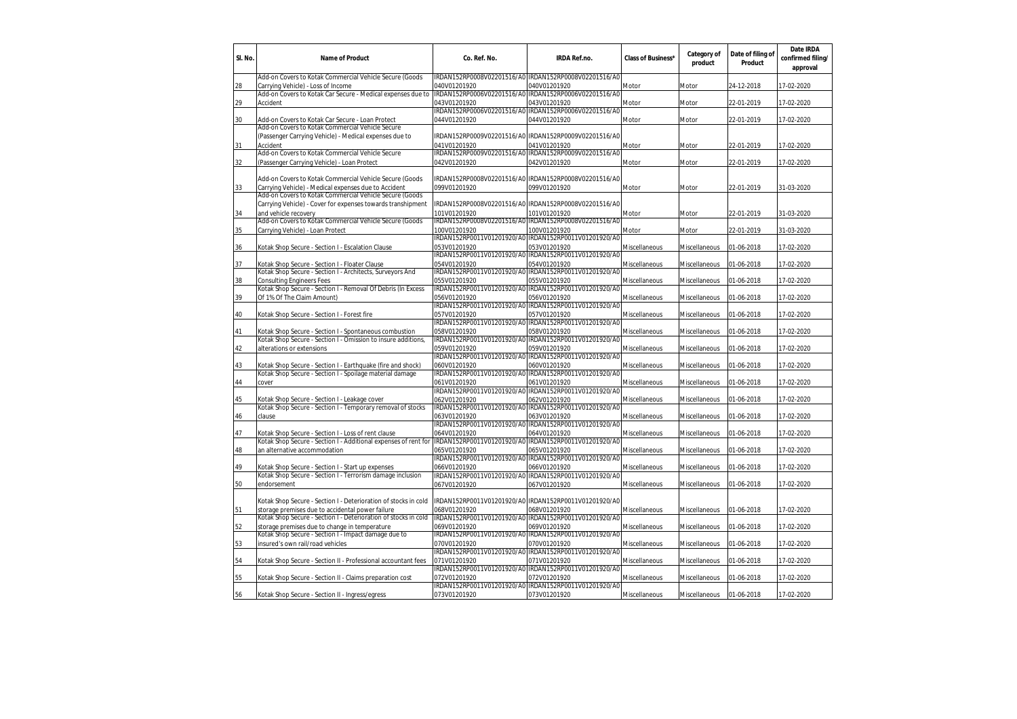| IRDAN152RP0008V02201516/A0 IRDAN152RP0008V02201516/A0<br>040V01201920<br>040V01201920<br>24-12-2018<br>28<br>Carrying Vehicle) - Loss of Income<br>Motor<br>17-02-2020<br>Motor<br>Add-on Covers to Kotak Car Secure - Medical expenses due to<br>IRDAN152RP0006V02201516/A0<br>IRDAN152RP0006V02201516/A0<br>043V01201920<br>29<br>Accident<br>043V01201920<br>22-01-2019<br>17-02-2020<br>Motor<br>Motor<br>IRDAN152RP0006V02201516/A0<br>IRDAN152RP0006V02201516/A0<br>044V01201920<br>044V01201920<br>30<br>Add-on Covers to Kotak Car Secure - Loan Protect<br>Motor<br>17-02-2020<br>Motor<br>22-01-2019<br>Add-on Covers to Kotak Commercial Vehicle Secure<br>IRDAN152RP0009V02201516/A0 IRDAN152RP0009V02201516/A0<br>(Passenger Carrying Vehicle) - Medical expenses due to<br>041V01201920<br>041V01201920<br>31<br>Accident<br>Motor<br>22-01-2019<br>17-02-2020<br>Motor<br>IRDAN152RP0009V02201516/A0<br>IRDAN152RP0009V02201516/A0<br>Add-on Covers to Kotak Commercial Vehicle Secure<br>32<br>(Passenger Carrying Vehicle) - Loan Protect<br>042V01201920<br>042V01201920<br>22-01-2019<br>17-02-2020<br>Motor<br>Motor<br>IRDAN152RP0008V02201516/A0 IRDAN152RP0008V02201516/A0<br>Add-on Covers to Kotak Commercial Vehicle Secure (Goods<br>099V01201920<br>099V01201920<br>33<br>Carrying Vehicle) - Medical expenses due to Accident<br>Motor<br>22-01-2019<br>31-03-2020<br>Motor<br>Add-on Covers to Kotak Commercial Vehicle Secure (Goods<br>Carrying Vehicle) - Cover for expenses towards transhipment<br>IRDAN152RP0008V02201516/A0 IRDAN152RP0008V02201516/A0<br>101V01201920<br>101V01201920<br>34<br>and vehicle recovery<br>Motor<br>22-01-2019<br>31-03-2020<br>Motor<br>Add-on Covers to Kotak Commercial Vehicle Secure (Goods<br>IRDAN152RP0008V02201516/A0<br>IRDAN152RP0008V02201516/A0<br>100V01201920<br>100V01201920<br>35<br>Carrying Vehicle) - Loan Protect<br>Motor<br>Motor<br>22-01-2019<br>31-03-2020<br>IRDAN152RP0011V01201920/A0 IRDAN152RP0011V01201920/A0<br>053V01201920<br>053V01201920<br>17-02-2020<br>36<br>Kotak Shop Secure - Section I - Escalation Clause<br>Miscellaneous<br>Miscellaneous<br>01-06-2018<br>IRDAN152RP0011V01201920/A0<br>IRDAN152RP0011V01201920/A0<br>054V01201920<br>054V01201920<br>37<br>Kotak Shop Secure - Section I - Floater Clause<br>01-06-2018<br>17-02-2020<br>Miscellaneous<br>Miscellaneous<br>Kotak Shop Secure - Section I - Architects, Surveyors And<br>IRDAN152RP0011V01201920/A0<br>IRDAN152RP0011V01201920/AC<br>055V01201920<br>055V01201920<br>38<br><b>Consulting Engineers Fees</b><br>01-06-2018<br>17-02-2020<br>Miscellaneous<br>Miscellaneous<br>Kotak Shop Secure - Section I - Removal Of Debris (In Excess<br>IRDAN152RP0011V01201920/A0<br>IRDAN152RP0011V01201920/A0<br>39<br>Of 1% Of The Claim Amount)<br>056V01201920<br>056V01201920<br>01-06-2018<br>17-02-2020<br>Miscellaneous<br>Miscellaneous<br>IRDAN152RP0011V01201920/A0 IRDAN152RP0011V01201920/A0<br>Kotak Shop Secure - Section I - Forest fire<br>057V01201920<br>057V01201920<br>17-02-2020<br>40<br>Miscellaneous<br>Miscellaneous<br>01-06-2018<br>IRDAN152RP0011V01201920/AC<br>IRDAN152RP0011V01201920/A0<br>058V01201920<br>058V01201920<br>41<br>Kotak Shop Secure - Section I - Spontaneous combustion<br>Miscellaneous<br>Miscellaneous<br>01-06-2018<br>17-02-2020<br>Kotak Shop Secure - Section I - Omission to insure additions,<br>IRDAN152RP0011V01201920/A0<br>IRDAN152RP0011V01201920/A0<br>059V01201920<br>alterations or extensions<br>059V01201920<br>42<br>Miscellaneous<br>Miscellaneous<br>01-06-2018<br>17-02-2020<br>IRDAN152RP0011V01201920/A0<br>IRDAN152RP0011V01201920/A0<br>43<br>Kotak Shop Secure - Section I - Earthquake (fire and shock)<br>060V01201920<br>060V01201920<br>Miscellaneous<br>01-06-2018<br>17-02-2020<br>Miscellaneous<br>IRDAN152RP0011V01201920/A0<br>IRDAN152RP0011V01201920/A0<br>Kotak Shop Secure - Section I - Spoilage material damage<br>061V01201920<br>061V01201920<br>01-06-2018<br>17-02-2020<br>44<br>cover<br>Miscellaneous<br>Miscellaneous<br>IRDAN152RP0011V01201920/AC<br>IRDAN152RP0011V01201920/A0<br>45<br>Kotak Shop Secure - Section I - Leakage cover<br>062V01201920<br>062V01201920<br>01-06-2018<br>17-02-2020<br>Miscellaneous<br>Miscellaneous<br>Kotak Shop Secure - Section I - Temporary removal of stocks<br>IRDAN152RP0011V01201920/A0<br>IRDAN152RP0011V01201920/A0<br>clause<br>063V01201920<br>063V01201920<br>01-06-2018<br>17-02-2020<br>46<br>Miscellaneous<br>Miscellaneous<br>IRDAN152RP0011V01201920/A0 IRDAN152RP0011V01201920/A0<br>47<br>064V01201920<br>064V01201920<br>17-02-2020<br>Kotak Shop Secure - Section I - Loss of rent clause<br>Miscellaneous<br>Miscellaneous<br>01-06-2018<br>Kotak Shop Secure - Section I - Additional expenses of rent for<br>IRDAN152RP0011V01201920/A0<br>IRDAN152RP0011V01201920/A0<br>an alternative accommodation<br>065V01201920<br>065V01201920<br>48<br>01-06-2018<br>17-02-2020<br>Miscellaneous<br>Miscellaneous<br>IRDAN152RP0011V01201920/A0<br>IRDAN152RP0011V01201920/A0<br>49<br>Kotak Shop Secure - Section I - Start up expenses<br>066V01201920<br>066V01201920<br>01-06-2018<br>17-02-2020<br>Miscellaneous<br>Miscellaneous<br>Kotak Shop Secure - Section I - Terrorism damage inclusion<br>IRDAN152RP0011V01201920/A0<br>IRDAN152RP0011V01201920/A0<br>50<br>endorsement<br>067V01201920<br>067V01201920<br>Miscellaneous<br>Miscellaneous<br>01-06-2018<br>17-02-2020<br>IRDAN152RP0011V01201920/A0<br>Kotak Shop Secure - Section I - Deterioration of stocks in cold<br>IRDAN152RP0011V01201920/A0<br>068V01201920<br>storage premises due to accidental power failure<br>068V01201920<br>17-02-2020<br>Miscellaneous<br>Miscellaneous<br>01-06-2018<br>51<br>Kotak Shop Secure - Section I - Deterioration of stocks in cold<br>IRDAN152RP0011V01201920/A0<br>IRDAN152RP0011V01201920/A0<br>storage premises due to change in temperature<br>52<br>069V01201920<br>069V01201920<br>Miscellaneous<br>Miscellaneous<br>01-06-2018<br>17-02-2020<br>Kotak Shop Secure - Section I - Impact damage due to<br>IRDAN152RP0011V01201920/A0 IRDAN152RP0011V01201920/AC<br>insured's own rail/road vehicles<br>070V01201920<br>070V01201920<br>53<br>Miscellaneous<br>Miscellaneous<br>01-06-2018<br>17-02-2020<br>IRDAN152RP0011V01201920/A0<br>IRDAN152RP0011V01201920/A0<br>54<br>Kotak Shop Secure - Section II - Professional accountant fees<br>071V01201920<br>071V01201920<br>Miscellaneous<br>Miscellaneous<br>01-06-2018<br>17-02-2020<br>IRDAN152RP0011V01201920/A0<br>IRDAN152RP0011V01201920/A0<br>55<br>Kotak Shop Secure - Section II - Claims preparation cost<br>072V01201920<br>072V01201920<br>Miscellaneous<br>Miscellaneous<br>01-06-2018<br>17-02-2020<br>IRDAN152RP0011V01201920/A0<br>IRDAN152RP0011V01201920/A0 | SI. No. | <b>Name of Product</b>                                  | Co. Ref. No. | <b>IRDA Ref.no.</b> | <b>Class of Business*</b> | Category of<br>product | Date of filing of<br>Product | Date IRDA<br>confirmed filing/<br>approval |
|-----------------------------------------------------------------------------------------------------------------------------------------------------------------------------------------------------------------------------------------------------------------------------------------------------------------------------------------------------------------------------------------------------------------------------------------------------------------------------------------------------------------------------------------------------------------------------------------------------------------------------------------------------------------------------------------------------------------------------------------------------------------------------------------------------------------------------------------------------------------------------------------------------------------------------------------------------------------------------------------------------------------------------------------------------------------------------------------------------------------------------------------------------------------------------------------------------------------------------------------------------------------------------------------------------------------------------------------------------------------------------------------------------------------------------------------------------------------------------------------------------------------------------------------------------------------------------------------------------------------------------------------------------------------------------------------------------------------------------------------------------------------------------------------------------------------------------------------------------------------------------------------------------------------------------------------------------------------------------------------------------------------------------------------------------------------------------------------------------------------------------------------------------------------------------------------------------------------------------------------------------------------------------------------------------------------------------------------------------------------------------------------------------------------------------------------------------------------------------------------------------------------------------------------------------------------------------------------------------------------------------------------------------------------------------------------------------------------------------------------------------------------------------------------------------------------------------------------------------------------------------------------------------------------------------------------------------------------------------------------------------------------------------------------------------------------------------------------------------------------------------------------------------------------------------------------------------------------------------------------------------------------------------------------------------------------------------------------------------------------------------------------------------------------------------------------------------------------------------------------------------------------------------------------------------------------------------------------------------------------------------------------------------------------------------------------------------------------------------------------------------------------------------------------------------------------------------------------------------------------------------------------------------------------------------------------------------------------------------------------------------------------------------------------------------------------------------------------------------------------------------------------------------------------------------------------------------------------------------------------------------------------------------------------------------------------------------------------------------------------------------------------------------------------------------------------------------------------------------------------------------------------------------------------------------------------------------------------------------------------------------------------------------------------------------------------------------------------------------------------------------------------------------------------------------------------------------------------------------------------------------------------------------------------------------------------------------------------------------------------------------------------------------------------------------------------------------------------------------------------------------------------------------------------------------------------------------------------------------------------------------------------------------------------------------------------------------------------------------------------------------------------------------------------------------------------------------------------------------------------------------------------------------------------------------------------------------------------------------------------------------------------------------------------------------------------------------------------------------------------------------------------------------------------------------------------------------------------------------------------------------------------------------------------------------------------------------------------------------------------------------------------------------------------------------------------------------------------------------------------------------------------------------------------------------------------------------------------------------------------------------------------------------------------------------------------------------------------------------------------------------------------------------------------------------------------------------------------------------------------------------------------------------------------------------------------------------------------------------------------------------------------------------------------------------------------------------------------------------------------------------------------------------------------------------------------------------------------------------------------------------------|---------|---------------------------------------------------------|--------------|---------------------|---------------------------|------------------------|------------------------------|--------------------------------------------|
|                                                                                                                                                                                                                                                                                                                                                                                                                                                                                                                                                                                                                                                                                                                                                                                                                                                                                                                                                                                                                                                                                                                                                                                                                                                                                                                                                                                                                                                                                                                                                                                                                                                                                                                                                                                                                                                                                                                                                                                                                                                                                                                                                                                                                                                                                                                                                                                                                                                                                                                                                                                                                                                                                                                                                                                                                                                                                                                                                                                                                                                                                                                                                                                                                                                                                                                                                                                                                                                                                                                                                                                                                                                                                                                                                                                                                                                                                                                                                                                                                                                                                                                                                                                                                                                                                                                                                                                                                                                                                                                                                                                                                                                                                                                                                                                                                                                                                                                                                                                                                                                                                                                                                                                                                                                                                                                                                                                                                                                                                                                                                                                                                                                                                                                                                                                                                                                                                                                                                                                                                                                                                                                                                                                                                                                                                                                                                                                                                                                                                                                                                                                                                                                                                                                                                                                                                                                                                   |         | Add-on Covers to Kotak Commercial Vehicle Secure (Goods |              |                     |                           |                        |                              |                                            |
|                                                                                                                                                                                                                                                                                                                                                                                                                                                                                                                                                                                                                                                                                                                                                                                                                                                                                                                                                                                                                                                                                                                                                                                                                                                                                                                                                                                                                                                                                                                                                                                                                                                                                                                                                                                                                                                                                                                                                                                                                                                                                                                                                                                                                                                                                                                                                                                                                                                                                                                                                                                                                                                                                                                                                                                                                                                                                                                                                                                                                                                                                                                                                                                                                                                                                                                                                                                                                                                                                                                                                                                                                                                                                                                                                                                                                                                                                                                                                                                                                                                                                                                                                                                                                                                                                                                                                                                                                                                                                                                                                                                                                                                                                                                                                                                                                                                                                                                                                                                                                                                                                                                                                                                                                                                                                                                                                                                                                                                                                                                                                                                                                                                                                                                                                                                                                                                                                                                                                                                                                                                                                                                                                                                                                                                                                                                                                                                                                                                                                                                                                                                                                                                                                                                                                                                                                                                                                   |         |                                                         |              |                     |                           |                        |                              |                                            |
|                                                                                                                                                                                                                                                                                                                                                                                                                                                                                                                                                                                                                                                                                                                                                                                                                                                                                                                                                                                                                                                                                                                                                                                                                                                                                                                                                                                                                                                                                                                                                                                                                                                                                                                                                                                                                                                                                                                                                                                                                                                                                                                                                                                                                                                                                                                                                                                                                                                                                                                                                                                                                                                                                                                                                                                                                                                                                                                                                                                                                                                                                                                                                                                                                                                                                                                                                                                                                                                                                                                                                                                                                                                                                                                                                                                                                                                                                                                                                                                                                                                                                                                                                                                                                                                                                                                                                                                                                                                                                                                                                                                                                                                                                                                                                                                                                                                                                                                                                                                                                                                                                                                                                                                                                                                                                                                                                                                                                                                                                                                                                                                                                                                                                                                                                                                                                                                                                                                                                                                                                                                                                                                                                                                                                                                                                                                                                                                                                                                                                                                                                                                                                                                                                                                                                                                                                                                                                   |         |                                                         |              |                     |                           |                        |                              |                                            |
|                                                                                                                                                                                                                                                                                                                                                                                                                                                                                                                                                                                                                                                                                                                                                                                                                                                                                                                                                                                                                                                                                                                                                                                                                                                                                                                                                                                                                                                                                                                                                                                                                                                                                                                                                                                                                                                                                                                                                                                                                                                                                                                                                                                                                                                                                                                                                                                                                                                                                                                                                                                                                                                                                                                                                                                                                                                                                                                                                                                                                                                                                                                                                                                                                                                                                                                                                                                                                                                                                                                                                                                                                                                                                                                                                                                                                                                                                                                                                                                                                                                                                                                                                                                                                                                                                                                                                                                                                                                                                                                                                                                                                                                                                                                                                                                                                                                                                                                                                                                                                                                                                                                                                                                                                                                                                                                                                                                                                                                                                                                                                                                                                                                                                                                                                                                                                                                                                                                                                                                                                                                                                                                                                                                                                                                                                                                                                                                                                                                                                                                                                                                                                                                                                                                                                                                                                                                                                   |         |                                                         |              |                     |                           |                        |                              |                                            |
|                                                                                                                                                                                                                                                                                                                                                                                                                                                                                                                                                                                                                                                                                                                                                                                                                                                                                                                                                                                                                                                                                                                                                                                                                                                                                                                                                                                                                                                                                                                                                                                                                                                                                                                                                                                                                                                                                                                                                                                                                                                                                                                                                                                                                                                                                                                                                                                                                                                                                                                                                                                                                                                                                                                                                                                                                                                                                                                                                                                                                                                                                                                                                                                                                                                                                                                                                                                                                                                                                                                                                                                                                                                                                                                                                                                                                                                                                                                                                                                                                                                                                                                                                                                                                                                                                                                                                                                                                                                                                                                                                                                                                                                                                                                                                                                                                                                                                                                                                                                                                                                                                                                                                                                                                                                                                                                                                                                                                                                                                                                                                                                                                                                                                                                                                                                                                                                                                                                                                                                                                                                                                                                                                                                                                                                                                                                                                                                                                                                                                                                                                                                                                                                                                                                                                                                                                                                                                   |         |                                                         |              |                     |                           |                        |                              |                                            |
|                                                                                                                                                                                                                                                                                                                                                                                                                                                                                                                                                                                                                                                                                                                                                                                                                                                                                                                                                                                                                                                                                                                                                                                                                                                                                                                                                                                                                                                                                                                                                                                                                                                                                                                                                                                                                                                                                                                                                                                                                                                                                                                                                                                                                                                                                                                                                                                                                                                                                                                                                                                                                                                                                                                                                                                                                                                                                                                                                                                                                                                                                                                                                                                                                                                                                                                                                                                                                                                                                                                                                                                                                                                                                                                                                                                                                                                                                                                                                                                                                                                                                                                                                                                                                                                                                                                                                                                                                                                                                                                                                                                                                                                                                                                                                                                                                                                                                                                                                                                                                                                                                                                                                                                                                                                                                                                                                                                                                                                                                                                                                                                                                                                                                                                                                                                                                                                                                                                                                                                                                                                                                                                                                                                                                                                                                                                                                                                                                                                                                                                                                                                                                                                                                                                                                                                                                                                                                   |         |                                                         |              |                     |                           |                        |                              |                                            |
|                                                                                                                                                                                                                                                                                                                                                                                                                                                                                                                                                                                                                                                                                                                                                                                                                                                                                                                                                                                                                                                                                                                                                                                                                                                                                                                                                                                                                                                                                                                                                                                                                                                                                                                                                                                                                                                                                                                                                                                                                                                                                                                                                                                                                                                                                                                                                                                                                                                                                                                                                                                                                                                                                                                                                                                                                                                                                                                                                                                                                                                                                                                                                                                                                                                                                                                                                                                                                                                                                                                                                                                                                                                                                                                                                                                                                                                                                                                                                                                                                                                                                                                                                                                                                                                                                                                                                                                                                                                                                                                                                                                                                                                                                                                                                                                                                                                                                                                                                                                                                                                                                                                                                                                                                                                                                                                                                                                                                                                                                                                                                                                                                                                                                                                                                                                                                                                                                                                                                                                                                                                                                                                                                                                                                                                                                                                                                                                                                                                                                                                                                                                                                                                                                                                                                                                                                                                                                   |         |                                                         |              |                     |                           |                        |                              |                                            |
|                                                                                                                                                                                                                                                                                                                                                                                                                                                                                                                                                                                                                                                                                                                                                                                                                                                                                                                                                                                                                                                                                                                                                                                                                                                                                                                                                                                                                                                                                                                                                                                                                                                                                                                                                                                                                                                                                                                                                                                                                                                                                                                                                                                                                                                                                                                                                                                                                                                                                                                                                                                                                                                                                                                                                                                                                                                                                                                                                                                                                                                                                                                                                                                                                                                                                                                                                                                                                                                                                                                                                                                                                                                                                                                                                                                                                                                                                                                                                                                                                                                                                                                                                                                                                                                                                                                                                                                                                                                                                                                                                                                                                                                                                                                                                                                                                                                                                                                                                                                                                                                                                                                                                                                                                                                                                                                                                                                                                                                                                                                                                                                                                                                                                                                                                                                                                                                                                                                                                                                                                                                                                                                                                                                                                                                                                                                                                                                                                                                                                                                                                                                                                                                                                                                                                                                                                                                                                   |         |                                                         |              |                     |                           |                        |                              |                                            |
|                                                                                                                                                                                                                                                                                                                                                                                                                                                                                                                                                                                                                                                                                                                                                                                                                                                                                                                                                                                                                                                                                                                                                                                                                                                                                                                                                                                                                                                                                                                                                                                                                                                                                                                                                                                                                                                                                                                                                                                                                                                                                                                                                                                                                                                                                                                                                                                                                                                                                                                                                                                                                                                                                                                                                                                                                                                                                                                                                                                                                                                                                                                                                                                                                                                                                                                                                                                                                                                                                                                                                                                                                                                                                                                                                                                                                                                                                                                                                                                                                                                                                                                                                                                                                                                                                                                                                                                                                                                                                                                                                                                                                                                                                                                                                                                                                                                                                                                                                                                                                                                                                                                                                                                                                                                                                                                                                                                                                                                                                                                                                                                                                                                                                                                                                                                                                                                                                                                                                                                                                                                                                                                                                                                                                                                                                                                                                                                                                                                                                                                                                                                                                                                                                                                                                                                                                                                                                   |         |                                                         |              |                     |                           |                        |                              |                                            |
|                                                                                                                                                                                                                                                                                                                                                                                                                                                                                                                                                                                                                                                                                                                                                                                                                                                                                                                                                                                                                                                                                                                                                                                                                                                                                                                                                                                                                                                                                                                                                                                                                                                                                                                                                                                                                                                                                                                                                                                                                                                                                                                                                                                                                                                                                                                                                                                                                                                                                                                                                                                                                                                                                                                                                                                                                                                                                                                                                                                                                                                                                                                                                                                                                                                                                                                                                                                                                                                                                                                                                                                                                                                                                                                                                                                                                                                                                                                                                                                                                                                                                                                                                                                                                                                                                                                                                                                                                                                                                                                                                                                                                                                                                                                                                                                                                                                                                                                                                                                                                                                                                                                                                                                                                                                                                                                                                                                                                                                                                                                                                                                                                                                                                                                                                                                                                                                                                                                                                                                                                                                                                                                                                                                                                                                                                                                                                                                                                                                                                                                                                                                                                                                                                                                                                                                                                                                                                   |         |                                                         |              |                     |                           |                        |                              |                                            |
|                                                                                                                                                                                                                                                                                                                                                                                                                                                                                                                                                                                                                                                                                                                                                                                                                                                                                                                                                                                                                                                                                                                                                                                                                                                                                                                                                                                                                                                                                                                                                                                                                                                                                                                                                                                                                                                                                                                                                                                                                                                                                                                                                                                                                                                                                                                                                                                                                                                                                                                                                                                                                                                                                                                                                                                                                                                                                                                                                                                                                                                                                                                                                                                                                                                                                                                                                                                                                                                                                                                                                                                                                                                                                                                                                                                                                                                                                                                                                                                                                                                                                                                                                                                                                                                                                                                                                                                                                                                                                                                                                                                                                                                                                                                                                                                                                                                                                                                                                                                                                                                                                                                                                                                                                                                                                                                                                                                                                                                                                                                                                                                                                                                                                                                                                                                                                                                                                                                                                                                                                                                                                                                                                                                                                                                                                                                                                                                                                                                                                                                                                                                                                                                                                                                                                                                                                                                                                   |         |                                                         |              |                     |                           |                        |                              |                                            |
|                                                                                                                                                                                                                                                                                                                                                                                                                                                                                                                                                                                                                                                                                                                                                                                                                                                                                                                                                                                                                                                                                                                                                                                                                                                                                                                                                                                                                                                                                                                                                                                                                                                                                                                                                                                                                                                                                                                                                                                                                                                                                                                                                                                                                                                                                                                                                                                                                                                                                                                                                                                                                                                                                                                                                                                                                                                                                                                                                                                                                                                                                                                                                                                                                                                                                                                                                                                                                                                                                                                                                                                                                                                                                                                                                                                                                                                                                                                                                                                                                                                                                                                                                                                                                                                                                                                                                                                                                                                                                                                                                                                                                                                                                                                                                                                                                                                                                                                                                                                                                                                                                                                                                                                                                                                                                                                                                                                                                                                                                                                                                                                                                                                                                                                                                                                                                                                                                                                                                                                                                                                                                                                                                                                                                                                                                                                                                                                                                                                                                                                                                                                                                                                                                                                                                                                                                                                                                   |         |                                                         |              |                     |                           |                        |                              |                                            |
|                                                                                                                                                                                                                                                                                                                                                                                                                                                                                                                                                                                                                                                                                                                                                                                                                                                                                                                                                                                                                                                                                                                                                                                                                                                                                                                                                                                                                                                                                                                                                                                                                                                                                                                                                                                                                                                                                                                                                                                                                                                                                                                                                                                                                                                                                                                                                                                                                                                                                                                                                                                                                                                                                                                                                                                                                                                                                                                                                                                                                                                                                                                                                                                                                                                                                                                                                                                                                                                                                                                                                                                                                                                                                                                                                                                                                                                                                                                                                                                                                                                                                                                                                                                                                                                                                                                                                                                                                                                                                                                                                                                                                                                                                                                                                                                                                                                                                                                                                                                                                                                                                                                                                                                                                                                                                                                                                                                                                                                                                                                                                                                                                                                                                                                                                                                                                                                                                                                                                                                                                                                                                                                                                                                                                                                                                                                                                                                                                                                                                                                                                                                                                                                                                                                                                                                                                                                                                   |         |                                                         |              |                     |                           |                        |                              |                                            |
|                                                                                                                                                                                                                                                                                                                                                                                                                                                                                                                                                                                                                                                                                                                                                                                                                                                                                                                                                                                                                                                                                                                                                                                                                                                                                                                                                                                                                                                                                                                                                                                                                                                                                                                                                                                                                                                                                                                                                                                                                                                                                                                                                                                                                                                                                                                                                                                                                                                                                                                                                                                                                                                                                                                                                                                                                                                                                                                                                                                                                                                                                                                                                                                                                                                                                                                                                                                                                                                                                                                                                                                                                                                                                                                                                                                                                                                                                                                                                                                                                                                                                                                                                                                                                                                                                                                                                                                                                                                                                                                                                                                                                                                                                                                                                                                                                                                                                                                                                                                                                                                                                                                                                                                                                                                                                                                                                                                                                                                                                                                                                                                                                                                                                                                                                                                                                                                                                                                                                                                                                                                                                                                                                                                                                                                                                                                                                                                                                                                                                                                                                                                                                                                                                                                                                                                                                                                                                   |         |                                                         |              |                     |                           |                        |                              |                                            |
|                                                                                                                                                                                                                                                                                                                                                                                                                                                                                                                                                                                                                                                                                                                                                                                                                                                                                                                                                                                                                                                                                                                                                                                                                                                                                                                                                                                                                                                                                                                                                                                                                                                                                                                                                                                                                                                                                                                                                                                                                                                                                                                                                                                                                                                                                                                                                                                                                                                                                                                                                                                                                                                                                                                                                                                                                                                                                                                                                                                                                                                                                                                                                                                                                                                                                                                                                                                                                                                                                                                                                                                                                                                                                                                                                                                                                                                                                                                                                                                                                                                                                                                                                                                                                                                                                                                                                                                                                                                                                                                                                                                                                                                                                                                                                                                                                                                                                                                                                                                                                                                                                                                                                                                                                                                                                                                                                                                                                                                                                                                                                                                                                                                                                                                                                                                                                                                                                                                                                                                                                                                                                                                                                                                                                                                                                                                                                                                                                                                                                                                                                                                                                                                                                                                                                                                                                                                                                   |         |                                                         |              |                     |                           |                        |                              |                                            |
|                                                                                                                                                                                                                                                                                                                                                                                                                                                                                                                                                                                                                                                                                                                                                                                                                                                                                                                                                                                                                                                                                                                                                                                                                                                                                                                                                                                                                                                                                                                                                                                                                                                                                                                                                                                                                                                                                                                                                                                                                                                                                                                                                                                                                                                                                                                                                                                                                                                                                                                                                                                                                                                                                                                                                                                                                                                                                                                                                                                                                                                                                                                                                                                                                                                                                                                                                                                                                                                                                                                                                                                                                                                                                                                                                                                                                                                                                                                                                                                                                                                                                                                                                                                                                                                                                                                                                                                                                                                                                                                                                                                                                                                                                                                                                                                                                                                                                                                                                                                                                                                                                                                                                                                                                                                                                                                                                                                                                                                                                                                                                                                                                                                                                                                                                                                                                                                                                                                                                                                                                                                                                                                                                                                                                                                                                                                                                                                                                                                                                                                                                                                                                                                                                                                                                                                                                                                                                   |         |                                                         |              |                     |                           |                        |                              |                                            |
|                                                                                                                                                                                                                                                                                                                                                                                                                                                                                                                                                                                                                                                                                                                                                                                                                                                                                                                                                                                                                                                                                                                                                                                                                                                                                                                                                                                                                                                                                                                                                                                                                                                                                                                                                                                                                                                                                                                                                                                                                                                                                                                                                                                                                                                                                                                                                                                                                                                                                                                                                                                                                                                                                                                                                                                                                                                                                                                                                                                                                                                                                                                                                                                                                                                                                                                                                                                                                                                                                                                                                                                                                                                                                                                                                                                                                                                                                                                                                                                                                                                                                                                                                                                                                                                                                                                                                                                                                                                                                                                                                                                                                                                                                                                                                                                                                                                                                                                                                                                                                                                                                                                                                                                                                                                                                                                                                                                                                                                                                                                                                                                                                                                                                                                                                                                                                                                                                                                                                                                                                                                                                                                                                                                                                                                                                                                                                                                                                                                                                                                                                                                                                                                                                                                                                                                                                                                                                   |         |                                                         |              |                     |                           |                        |                              |                                            |
|                                                                                                                                                                                                                                                                                                                                                                                                                                                                                                                                                                                                                                                                                                                                                                                                                                                                                                                                                                                                                                                                                                                                                                                                                                                                                                                                                                                                                                                                                                                                                                                                                                                                                                                                                                                                                                                                                                                                                                                                                                                                                                                                                                                                                                                                                                                                                                                                                                                                                                                                                                                                                                                                                                                                                                                                                                                                                                                                                                                                                                                                                                                                                                                                                                                                                                                                                                                                                                                                                                                                                                                                                                                                                                                                                                                                                                                                                                                                                                                                                                                                                                                                                                                                                                                                                                                                                                                                                                                                                                                                                                                                                                                                                                                                                                                                                                                                                                                                                                                                                                                                                                                                                                                                                                                                                                                                                                                                                                                                                                                                                                                                                                                                                                                                                                                                                                                                                                                                                                                                                                                                                                                                                                                                                                                                                                                                                                                                                                                                                                                                                                                                                                                                                                                                                                                                                                                                                   |         |                                                         |              |                     |                           |                        |                              |                                            |
|                                                                                                                                                                                                                                                                                                                                                                                                                                                                                                                                                                                                                                                                                                                                                                                                                                                                                                                                                                                                                                                                                                                                                                                                                                                                                                                                                                                                                                                                                                                                                                                                                                                                                                                                                                                                                                                                                                                                                                                                                                                                                                                                                                                                                                                                                                                                                                                                                                                                                                                                                                                                                                                                                                                                                                                                                                                                                                                                                                                                                                                                                                                                                                                                                                                                                                                                                                                                                                                                                                                                                                                                                                                                                                                                                                                                                                                                                                                                                                                                                                                                                                                                                                                                                                                                                                                                                                                                                                                                                                                                                                                                                                                                                                                                                                                                                                                                                                                                                                                                                                                                                                                                                                                                                                                                                                                                                                                                                                                                                                                                                                                                                                                                                                                                                                                                                                                                                                                                                                                                                                                                                                                                                                                                                                                                                                                                                                                                                                                                                                                                                                                                                                                                                                                                                                                                                                                                                   |         |                                                         |              |                     |                           |                        |                              |                                            |
|                                                                                                                                                                                                                                                                                                                                                                                                                                                                                                                                                                                                                                                                                                                                                                                                                                                                                                                                                                                                                                                                                                                                                                                                                                                                                                                                                                                                                                                                                                                                                                                                                                                                                                                                                                                                                                                                                                                                                                                                                                                                                                                                                                                                                                                                                                                                                                                                                                                                                                                                                                                                                                                                                                                                                                                                                                                                                                                                                                                                                                                                                                                                                                                                                                                                                                                                                                                                                                                                                                                                                                                                                                                                                                                                                                                                                                                                                                                                                                                                                                                                                                                                                                                                                                                                                                                                                                                                                                                                                                                                                                                                                                                                                                                                                                                                                                                                                                                                                                                                                                                                                                                                                                                                                                                                                                                                                                                                                                                                                                                                                                                                                                                                                                                                                                                                                                                                                                                                                                                                                                                                                                                                                                                                                                                                                                                                                                                                                                                                                                                                                                                                                                                                                                                                                                                                                                                                                   |         |                                                         |              |                     |                           |                        |                              |                                            |
|                                                                                                                                                                                                                                                                                                                                                                                                                                                                                                                                                                                                                                                                                                                                                                                                                                                                                                                                                                                                                                                                                                                                                                                                                                                                                                                                                                                                                                                                                                                                                                                                                                                                                                                                                                                                                                                                                                                                                                                                                                                                                                                                                                                                                                                                                                                                                                                                                                                                                                                                                                                                                                                                                                                                                                                                                                                                                                                                                                                                                                                                                                                                                                                                                                                                                                                                                                                                                                                                                                                                                                                                                                                                                                                                                                                                                                                                                                                                                                                                                                                                                                                                                                                                                                                                                                                                                                                                                                                                                                                                                                                                                                                                                                                                                                                                                                                                                                                                                                                                                                                                                                                                                                                                                                                                                                                                                                                                                                                                                                                                                                                                                                                                                                                                                                                                                                                                                                                                                                                                                                                                                                                                                                                                                                                                                                                                                                                                                                                                                                                                                                                                                                                                                                                                                                                                                                                                                   |         |                                                         |              |                     |                           |                        |                              |                                            |
|                                                                                                                                                                                                                                                                                                                                                                                                                                                                                                                                                                                                                                                                                                                                                                                                                                                                                                                                                                                                                                                                                                                                                                                                                                                                                                                                                                                                                                                                                                                                                                                                                                                                                                                                                                                                                                                                                                                                                                                                                                                                                                                                                                                                                                                                                                                                                                                                                                                                                                                                                                                                                                                                                                                                                                                                                                                                                                                                                                                                                                                                                                                                                                                                                                                                                                                                                                                                                                                                                                                                                                                                                                                                                                                                                                                                                                                                                                                                                                                                                                                                                                                                                                                                                                                                                                                                                                                                                                                                                                                                                                                                                                                                                                                                                                                                                                                                                                                                                                                                                                                                                                                                                                                                                                                                                                                                                                                                                                                                                                                                                                                                                                                                                                                                                                                                                                                                                                                                                                                                                                                                                                                                                                                                                                                                                                                                                                                                                                                                                                                                                                                                                                                                                                                                                                                                                                                                                   |         |                                                         |              |                     |                           |                        |                              |                                            |
|                                                                                                                                                                                                                                                                                                                                                                                                                                                                                                                                                                                                                                                                                                                                                                                                                                                                                                                                                                                                                                                                                                                                                                                                                                                                                                                                                                                                                                                                                                                                                                                                                                                                                                                                                                                                                                                                                                                                                                                                                                                                                                                                                                                                                                                                                                                                                                                                                                                                                                                                                                                                                                                                                                                                                                                                                                                                                                                                                                                                                                                                                                                                                                                                                                                                                                                                                                                                                                                                                                                                                                                                                                                                                                                                                                                                                                                                                                                                                                                                                                                                                                                                                                                                                                                                                                                                                                                                                                                                                                                                                                                                                                                                                                                                                                                                                                                                                                                                                                                                                                                                                                                                                                                                                                                                                                                                                                                                                                                                                                                                                                                                                                                                                                                                                                                                                                                                                                                                                                                                                                                                                                                                                                                                                                                                                                                                                                                                                                                                                                                                                                                                                                                                                                                                                                                                                                                                                   |         |                                                         |              |                     |                           |                        |                              |                                            |
|                                                                                                                                                                                                                                                                                                                                                                                                                                                                                                                                                                                                                                                                                                                                                                                                                                                                                                                                                                                                                                                                                                                                                                                                                                                                                                                                                                                                                                                                                                                                                                                                                                                                                                                                                                                                                                                                                                                                                                                                                                                                                                                                                                                                                                                                                                                                                                                                                                                                                                                                                                                                                                                                                                                                                                                                                                                                                                                                                                                                                                                                                                                                                                                                                                                                                                                                                                                                                                                                                                                                                                                                                                                                                                                                                                                                                                                                                                                                                                                                                                                                                                                                                                                                                                                                                                                                                                                                                                                                                                                                                                                                                                                                                                                                                                                                                                                                                                                                                                                                                                                                                                                                                                                                                                                                                                                                                                                                                                                                                                                                                                                                                                                                                                                                                                                                                                                                                                                                                                                                                                                                                                                                                                                                                                                                                                                                                                                                                                                                                                                                                                                                                                                                                                                                                                                                                                                                                   |         |                                                         |              |                     |                           |                        |                              |                                            |
|                                                                                                                                                                                                                                                                                                                                                                                                                                                                                                                                                                                                                                                                                                                                                                                                                                                                                                                                                                                                                                                                                                                                                                                                                                                                                                                                                                                                                                                                                                                                                                                                                                                                                                                                                                                                                                                                                                                                                                                                                                                                                                                                                                                                                                                                                                                                                                                                                                                                                                                                                                                                                                                                                                                                                                                                                                                                                                                                                                                                                                                                                                                                                                                                                                                                                                                                                                                                                                                                                                                                                                                                                                                                                                                                                                                                                                                                                                                                                                                                                                                                                                                                                                                                                                                                                                                                                                                                                                                                                                                                                                                                                                                                                                                                                                                                                                                                                                                                                                                                                                                                                                                                                                                                                                                                                                                                                                                                                                                                                                                                                                                                                                                                                                                                                                                                                                                                                                                                                                                                                                                                                                                                                                                                                                                                                                                                                                                                                                                                                                                                                                                                                                                                                                                                                                                                                                                                                   |         |                                                         |              |                     |                           |                        |                              |                                            |
|                                                                                                                                                                                                                                                                                                                                                                                                                                                                                                                                                                                                                                                                                                                                                                                                                                                                                                                                                                                                                                                                                                                                                                                                                                                                                                                                                                                                                                                                                                                                                                                                                                                                                                                                                                                                                                                                                                                                                                                                                                                                                                                                                                                                                                                                                                                                                                                                                                                                                                                                                                                                                                                                                                                                                                                                                                                                                                                                                                                                                                                                                                                                                                                                                                                                                                                                                                                                                                                                                                                                                                                                                                                                                                                                                                                                                                                                                                                                                                                                                                                                                                                                                                                                                                                                                                                                                                                                                                                                                                                                                                                                                                                                                                                                                                                                                                                                                                                                                                                                                                                                                                                                                                                                                                                                                                                                                                                                                                                                                                                                                                                                                                                                                                                                                                                                                                                                                                                                                                                                                                                                                                                                                                                                                                                                                                                                                                                                                                                                                                                                                                                                                                                                                                                                                                                                                                                                                   |         |                                                         |              |                     |                           |                        |                              |                                            |
|                                                                                                                                                                                                                                                                                                                                                                                                                                                                                                                                                                                                                                                                                                                                                                                                                                                                                                                                                                                                                                                                                                                                                                                                                                                                                                                                                                                                                                                                                                                                                                                                                                                                                                                                                                                                                                                                                                                                                                                                                                                                                                                                                                                                                                                                                                                                                                                                                                                                                                                                                                                                                                                                                                                                                                                                                                                                                                                                                                                                                                                                                                                                                                                                                                                                                                                                                                                                                                                                                                                                                                                                                                                                                                                                                                                                                                                                                                                                                                                                                                                                                                                                                                                                                                                                                                                                                                                                                                                                                                                                                                                                                                                                                                                                                                                                                                                                                                                                                                                                                                                                                                                                                                                                                                                                                                                                                                                                                                                                                                                                                                                                                                                                                                                                                                                                                                                                                                                                                                                                                                                                                                                                                                                                                                                                                                                                                                                                                                                                                                                                                                                                                                                                                                                                                                                                                                                                                   |         |                                                         |              |                     |                           |                        |                              |                                            |
|                                                                                                                                                                                                                                                                                                                                                                                                                                                                                                                                                                                                                                                                                                                                                                                                                                                                                                                                                                                                                                                                                                                                                                                                                                                                                                                                                                                                                                                                                                                                                                                                                                                                                                                                                                                                                                                                                                                                                                                                                                                                                                                                                                                                                                                                                                                                                                                                                                                                                                                                                                                                                                                                                                                                                                                                                                                                                                                                                                                                                                                                                                                                                                                                                                                                                                                                                                                                                                                                                                                                                                                                                                                                                                                                                                                                                                                                                                                                                                                                                                                                                                                                                                                                                                                                                                                                                                                                                                                                                                                                                                                                                                                                                                                                                                                                                                                                                                                                                                                                                                                                                                                                                                                                                                                                                                                                                                                                                                                                                                                                                                                                                                                                                                                                                                                                                                                                                                                                                                                                                                                                                                                                                                                                                                                                                                                                                                                                                                                                                                                                                                                                                                                                                                                                                                                                                                                                                   |         |                                                         |              |                     |                           |                        |                              |                                            |
|                                                                                                                                                                                                                                                                                                                                                                                                                                                                                                                                                                                                                                                                                                                                                                                                                                                                                                                                                                                                                                                                                                                                                                                                                                                                                                                                                                                                                                                                                                                                                                                                                                                                                                                                                                                                                                                                                                                                                                                                                                                                                                                                                                                                                                                                                                                                                                                                                                                                                                                                                                                                                                                                                                                                                                                                                                                                                                                                                                                                                                                                                                                                                                                                                                                                                                                                                                                                                                                                                                                                                                                                                                                                                                                                                                                                                                                                                                                                                                                                                                                                                                                                                                                                                                                                                                                                                                                                                                                                                                                                                                                                                                                                                                                                                                                                                                                                                                                                                                                                                                                                                                                                                                                                                                                                                                                                                                                                                                                                                                                                                                                                                                                                                                                                                                                                                                                                                                                                                                                                                                                                                                                                                                                                                                                                                                                                                                                                                                                                                                                                                                                                                                                                                                                                                                                                                                                                                   |         |                                                         |              |                     |                           |                        |                              |                                            |
|                                                                                                                                                                                                                                                                                                                                                                                                                                                                                                                                                                                                                                                                                                                                                                                                                                                                                                                                                                                                                                                                                                                                                                                                                                                                                                                                                                                                                                                                                                                                                                                                                                                                                                                                                                                                                                                                                                                                                                                                                                                                                                                                                                                                                                                                                                                                                                                                                                                                                                                                                                                                                                                                                                                                                                                                                                                                                                                                                                                                                                                                                                                                                                                                                                                                                                                                                                                                                                                                                                                                                                                                                                                                                                                                                                                                                                                                                                                                                                                                                                                                                                                                                                                                                                                                                                                                                                                                                                                                                                                                                                                                                                                                                                                                                                                                                                                                                                                                                                                                                                                                                                                                                                                                                                                                                                                                                                                                                                                                                                                                                                                                                                                                                                                                                                                                                                                                                                                                                                                                                                                                                                                                                                                                                                                                                                                                                                                                                                                                                                                                                                                                                                                                                                                                                                                                                                                                                   |         |                                                         |              |                     |                           |                        |                              |                                            |
|                                                                                                                                                                                                                                                                                                                                                                                                                                                                                                                                                                                                                                                                                                                                                                                                                                                                                                                                                                                                                                                                                                                                                                                                                                                                                                                                                                                                                                                                                                                                                                                                                                                                                                                                                                                                                                                                                                                                                                                                                                                                                                                                                                                                                                                                                                                                                                                                                                                                                                                                                                                                                                                                                                                                                                                                                                                                                                                                                                                                                                                                                                                                                                                                                                                                                                                                                                                                                                                                                                                                                                                                                                                                                                                                                                                                                                                                                                                                                                                                                                                                                                                                                                                                                                                                                                                                                                                                                                                                                                                                                                                                                                                                                                                                                                                                                                                                                                                                                                                                                                                                                                                                                                                                                                                                                                                                                                                                                                                                                                                                                                                                                                                                                                                                                                                                                                                                                                                                                                                                                                                                                                                                                                                                                                                                                                                                                                                                                                                                                                                                                                                                                                                                                                                                                                                                                                                                                   |         |                                                         |              |                     |                           |                        |                              |                                            |
|                                                                                                                                                                                                                                                                                                                                                                                                                                                                                                                                                                                                                                                                                                                                                                                                                                                                                                                                                                                                                                                                                                                                                                                                                                                                                                                                                                                                                                                                                                                                                                                                                                                                                                                                                                                                                                                                                                                                                                                                                                                                                                                                                                                                                                                                                                                                                                                                                                                                                                                                                                                                                                                                                                                                                                                                                                                                                                                                                                                                                                                                                                                                                                                                                                                                                                                                                                                                                                                                                                                                                                                                                                                                                                                                                                                                                                                                                                                                                                                                                                                                                                                                                                                                                                                                                                                                                                                                                                                                                                                                                                                                                                                                                                                                                                                                                                                                                                                                                                                                                                                                                                                                                                                                                                                                                                                                                                                                                                                                                                                                                                                                                                                                                                                                                                                                                                                                                                                                                                                                                                                                                                                                                                                                                                                                                                                                                                                                                                                                                                                                                                                                                                                                                                                                                                                                                                                                                   |         |                                                         |              |                     |                           |                        |                              |                                            |
|                                                                                                                                                                                                                                                                                                                                                                                                                                                                                                                                                                                                                                                                                                                                                                                                                                                                                                                                                                                                                                                                                                                                                                                                                                                                                                                                                                                                                                                                                                                                                                                                                                                                                                                                                                                                                                                                                                                                                                                                                                                                                                                                                                                                                                                                                                                                                                                                                                                                                                                                                                                                                                                                                                                                                                                                                                                                                                                                                                                                                                                                                                                                                                                                                                                                                                                                                                                                                                                                                                                                                                                                                                                                                                                                                                                                                                                                                                                                                                                                                                                                                                                                                                                                                                                                                                                                                                                                                                                                                                                                                                                                                                                                                                                                                                                                                                                                                                                                                                                                                                                                                                                                                                                                                                                                                                                                                                                                                                                                                                                                                                                                                                                                                                                                                                                                                                                                                                                                                                                                                                                                                                                                                                                                                                                                                                                                                                                                                                                                                                                                                                                                                                                                                                                                                                                                                                                                                   |         |                                                         |              |                     |                           |                        |                              |                                            |
|                                                                                                                                                                                                                                                                                                                                                                                                                                                                                                                                                                                                                                                                                                                                                                                                                                                                                                                                                                                                                                                                                                                                                                                                                                                                                                                                                                                                                                                                                                                                                                                                                                                                                                                                                                                                                                                                                                                                                                                                                                                                                                                                                                                                                                                                                                                                                                                                                                                                                                                                                                                                                                                                                                                                                                                                                                                                                                                                                                                                                                                                                                                                                                                                                                                                                                                                                                                                                                                                                                                                                                                                                                                                                                                                                                                                                                                                                                                                                                                                                                                                                                                                                                                                                                                                                                                                                                                                                                                                                                                                                                                                                                                                                                                                                                                                                                                                                                                                                                                                                                                                                                                                                                                                                                                                                                                                                                                                                                                                                                                                                                                                                                                                                                                                                                                                                                                                                                                                                                                                                                                                                                                                                                                                                                                                                                                                                                                                                                                                                                                                                                                                                                                                                                                                                                                                                                                                                   |         |                                                         |              |                     |                           |                        |                              |                                            |
|                                                                                                                                                                                                                                                                                                                                                                                                                                                                                                                                                                                                                                                                                                                                                                                                                                                                                                                                                                                                                                                                                                                                                                                                                                                                                                                                                                                                                                                                                                                                                                                                                                                                                                                                                                                                                                                                                                                                                                                                                                                                                                                                                                                                                                                                                                                                                                                                                                                                                                                                                                                                                                                                                                                                                                                                                                                                                                                                                                                                                                                                                                                                                                                                                                                                                                                                                                                                                                                                                                                                                                                                                                                                                                                                                                                                                                                                                                                                                                                                                                                                                                                                                                                                                                                                                                                                                                                                                                                                                                                                                                                                                                                                                                                                                                                                                                                                                                                                                                                                                                                                                                                                                                                                                                                                                                                                                                                                                                                                                                                                                                                                                                                                                                                                                                                                                                                                                                                                                                                                                                                                                                                                                                                                                                                                                                                                                                                                                                                                                                                                                                                                                                                                                                                                                                                                                                                                                   |         |                                                         |              |                     |                           |                        |                              |                                            |
|                                                                                                                                                                                                                                                                                                                                                                                                                                                                                                                                                                                                                                                                                                                                                                                                                                                                                                                                                                                                                                                                                                                                                                                                                                                                                                                                                                                                                                                                                                                                                                                                                                                                                                                                                                                                                                                                                                                                                                                                                                                                                                                                                                                                                                                                                                                                                                                                                                                                                                                                                                                                                                                                                                                                                                                                                                                                                                                                                                                                                                                                                                                                                                                                                                                                                                                                                                                                                                                                                                                                                                                                                                                                                                                                                                                                                                                                                                                                                                                                                                                                                                                                                                                                                                                                                                                                                                                                                                                                                                                                                                                                                                                                                                                                                                                                                                                                                                                                                                                                                                                                                                                                                                                                                                                                                                                                                                                                                                                                                                                                                                                                                                                                                                                                                                                                                                                                                                                                                                                                                                                                                                                                                                                                                                                                                                                                                                                                                                                                                                                                                                                                                                                                                                                                                                                                                                                                                   |         |                                                         |              |                     |                           |                        |                              |                                            |
|                                                                                                                                                                                                                                                                                                                                                                                                                                                                                                                                                                                                                                                                                                                                                                                                                                                                                                                                                                                                                                                                                                                                                                                                                                                                                                                                                                                                                                                                                                                                                                                                                                                                                                                                                                                                                                                                                                                                                                                                                                                                                                                                                                                                                                                                                                                                                                                                                                                                                                                                                                                                                                                                                                                                                                                                                                                                                                                                                                                                                                                                                                                                                                                                                                                                                                                                                                                                                                                                                                                                                                                                                                                                                                                                                                                                                                                                                                                                                                                                                                                                                                                                                                                                                                                                                                                                                                                                                                                                                                                                                                                                                                                                                                                                                                                                                                                                                                                                                                                                                                                                                                                                                                                                                                                                                                                                                                                                                                                                                                                                                                                                                                                                                                                                                                                                                                                                                                                                                                                                                                                                                                                                                                                                                                                                                                                                                                                                                                                                                                                                                                                                                                                                                                                                                                                                                                                                                   |         |                                                         |              |                     |                           |                        |                              |                                            |
|                                                                                                                                                                                                                                                                                                                                                                                                                                                                                                                                                                                                                                                                                                                                                                                                                                                                                                                                                                                                                                                                                                                                                                                                                                                                                                                                                                                                                                                                                                                                                                                                                                                                                                                                                                                                                                                                                                                                                                                                                                                                                                                                                                                                                                                                                                                                                                                                                                                                                                                                                                                                                                                                                                                                                                                                                                                                                                                                                                                                                                                                                                                                                                                                                                                                                                                                                                                                                                                                                                                                                                                                                                                                                                                                                                                                                                                                                                                                                                                                                                                                                                                                                                                                                                                                                                                                                                                                                                                                                                                                                                                                                                                                                                                                                                                                                                                                                                                                                                                                                                                                                                                                                                                                                                                                                                                                                                                                                                                                                                                                                                                                                                                                                                                                                                                                                                                                                                                                                                                                                                                                                                                                                                                                                                                                                                                                                                                                                                                                                                                                                                                                                                                                                                                                                                                                                                                                                   |         |                                                         |              |                     |                           |                        |                              |                                            |
|                                                                                                                                                                                                                                                                                                                                                                                                                                                                                                                                                                                                                                                                                                                                                                                                                                                                                                                                                                                                                                                                                                                                                                                                                                                                                                                                                                                                                                                                                                                                                                                                                                                                                                                                                                                                                                                                                                                                                                                                                                                                                                                                                                                                                                                                                                                                                                                                                                                                                                                                                                                                                                                                                                                                                                                                                                                                                                                                                                                                                                                                                                                                                                                                                                                                                                                                                                                                                                                                                                                                                                                                                                                                                                                                                                                                                                                                                                                                                                                                                                                                                                                                                                                                                                                                                                                                                                                                                                                                                                                                                                                                                                                                                                                                                                                                                                                                                                                                                                                                                                                                                                                                                                                                                                                                                                                                                                                                                                                                                                                                                                                                                                                                                                                                                                                                                                                                                                                                                                                                                                                                                                                                                                                                                                                                                                                                                                                                                                                                                                                                                                                                                                                                                                                                                                                                                                                                                   |         |                                                         |              |                     |                           |                        |                              |                                            |
|                                                                                                                                                                                                                                                                                                                                                                                                                                                                                                                                                                                                                                                                                                                                                                                                                                                                                                                                                                                                                                                                                                                                                                                                                                                                                                                                                                                                                                                                                                                                                                                                                                                                                                                                                                                                                                                                                                                                                                                                                                                                                                                                                                                                                                                                                                                                                                                                                                                                                                                                                                                                                                                                                                                                                                                                                                                                                                                                                                                                                                                                                                                                                                                                                                                                                                                                                                                                                                                                                                                                                                                                                                                                                                                                                                                                                                                                                                                                                                                                                                                                                                                                                                                                                                                                                                                                                                                                                                                                                                                                                                                                                                                                                                                                                                                                                                                                                                                                                                                                                                                                                                                                                                                                                                                                                                                                                                                                                                                                                                                                                                                                                                                                                                                                                                                                                                                                                                                                                                                                                                                                                                                                                                                                                                                                                                                                                                                                                                                                                                                                                                                                                                                                                                                                                                                                                                                                                   |         |                                                         |              |                     |                           |                        |                              |                                            |
|                                                                                                                                                                                                                                                                                                                                                                                                                                                                                                                                                                                                                                                                                                                                                                                                                                                                                                                                                                                                                                                                                                                                                                                                                                                                                                                                                                                                                                                                                                                                                                                                                                                                                                                                                                                                                                                                                                                                                                                                                                                                                                                                                                                                                                                                                                                                                                                                                                                                                                                                                                                                                                                                                                                                                                                                                                                                                                                                                                                                                                                                                                                                                                                                                                                                                                                                                                                                                                                                                                                                                                                                                                                                                                                                                                                                                                                                                                                                                                                                                                                                                                                                                                                                                                                                                                                                                                                                                                                                                                                                                                                                                                                                                                                                                                                                                                                                                                                                                                                                                                                                                                                                                                                                                                                                                                                                                                                                                                                                                                                                                                                                                                                                                                                                                                                                                                                                                                                                                                                                                                                                                                                                                                                                                                                                                                                                                                                                                                                                                                                                                                                                                                                                                                                                                                                                                                                                                   |         |                                                         |              |                     |                           |                        |                              |                                            |
|                                                                                                                                                                                                                                                                                                                                                                                                                                                                                                                                                                                                                                                                                                                                                                                                                                                                                                                                                                                                                                                                                                                                                                                                                                                                                                                                                                                                                                                                                                                                                                                                                                                                                                                                                                                                                                                                                                                                                                                                                                                                                                                                                                                                                                                                                                                                                                                                                                                                                                                                                                                                                                                                                                                                                                                                                                                                                                                                                                                                                                                                                                                                                                                                                                                                                                                                                                                                                                                                                                                                                                                                                                                                                                                                                                                                                                                                                                                                                                                                                                                                                                                                                                                                                                                                                                                                                                                                                                                                                                                                                                                                                                                                                                                                                                                                                                                                                                                                                                                                                                                                                                                                                                                                                                                                                                                                                                                                                                                                                                                                                                                                                                                                                                                                                                                                                                                                                                                                                                                                                                                                                                                                                                                                                                                                                                                                                                                                                                                                                                                                                                                                                                                                                                                                                                                                                                                                                   |         |                                                         |              |                     |                           |                        |                              |                                            |
|                                                                                                                                                                                                                                                                                                                                                                                                                                                                                                                                                                                                                                                                                                                                                                                                                                                                                                                                                                                                                                                                                                                                                                                                                                                                                                                                                                                                                                                                                                                                                                                                                                                                                                                                                                                                                                                                                                                                                                                                                                                                                                                                                                                                                                                                                                                                                                                                                                                                                                                                                                                                                                                                                                                                                                                                                                                                                                                                                                                                                                                                                                                                                                                                                                                                                                                                                                                                                                                                                                                                                                                                                                                                                                                                                                                                                                                                                                                                                                                                                                                                                                                                                                                                                                                                                                                                                                                                                                                                                                                                                                                                                                                                                                                                                                                                                                                                                                                                                                                                                                                                                                                                                                                                                                                                                                                                                                                                                                                                                                                                                                                                                                                                                                                                                                                                                                                                                                                                                                                                                                                                                                                                                                                                                                                                                                                                                                                                                                                                                                                                                                                                                                                                                                                                                                                                                                                                                   |         |                                                         |              |                     |                           |                        |                              |                                            |
|                                                                                                                                                                                                                                                                                                                                                                                                                                                                                                                                                                                                                                                                                                                                                                                                                                                                                                                                                                                                                                                                                                                                                                                                                                                                                                                                                                                                                                                                                                                                                                                                                                                                                                                                                                                                                                                                                                                                                                                                                                                                                                                                                                                                                                                                                                                                                                                                                                                                                                                                                                                                                                                                                                                                                                                                                                                                                                                                                                                                                                                                                                                                                                                                                                                                                                                                                                                                                                                                                                                                                                                                                                                                                                                                                                                                                                                                                                                                                                                                                                                                                                                                                                                                                                                                                                                                                                                                                                                                                                                                                                                                                                                                                                                                                                                                                                                                                                                                                                                                                                                                                                                                                                                                                                                                                                                                                                                                                                                                                                                                                                                                                                                                                                                                                                                                                                                                                                                                                                                                                                                                                                                                                                                                                                                                                                                                                                                                                                                                                                                                                                                                                                                                                                                                                                                                                                                                                   |         |                                                         |              |                     |                           |                        |                              |                                            |
|                                                                                                                                                                                                                                                                                                                                                                                                                                                                                                                                                                                                                                                                                                                                                                                                                                                                                                                                                                                                                                                                                                                                                                                                                                                                                                                                                                                                                                                                                                                                                                                                                                                                                                                                                                                                                                                                                                                                                                                                                                                                                                                                                                                                                                                                                                                                                                                                                                                                                                                                                                                                                                                                                                                                                                                                                                                                                                                                                                                                                                                                                                                                                                                                                                                                                                                                                                                                                                                                                                                                                                                                                                                                                                                                                                                                                                                                                                                                                                                                                                                                                                                                                                                                                                                                                                                                                                                                                                                                                                                                                                                                                                                                                                                                                                                                                                                                                                                                                                                                                                                                                                                                                                                                                                                                                                                                                                                                                                                                                                                                                                                                                                                                                                                                                                                                                                                                                                                                                                                                                                                                                                                                                                                                                                                                                                                                                                                                                                                                                                                                                                                                                                                                                                                                                                                                                                                                                   |         |                                                         |              |                     |                           |                        |                              |                                            |
|                                                                                                                                                                                                                                                                                                                                                                                                                                                                                                                                                                                                                                                                                                                                                                                                                                                                                                                                                                                                                                                                                                                                                                                                                                                                                                                                                                                                                                                                                                                                                                                                                                                                                                                                                                                                                                                                                                                                                                                                                                                                                                                                                                                                                                                                                                                                                                                                                                                                                                                                                                                                                                                                                                                                                                                                                                                                                                                                                                                                                                                                                                                                                                                                                                                                                                                                                                                                                                                                                                                                                                                                                                                                                                                                                                                                                                                                                                                                                                                                                                                                                                                                                                                                                                                                                                                                                                                                                                                                                                                                                                                                                                                                                                                                                                                                                                                                                                                                                                                                                                                                                                                                                                                                                                                                                                                                                                                                                                                                                                                                                                                                                                                                                                                                                                                                                                                                                                                                                                                                                                                                                                                                                                                                                                                                                                                                                                                                                                                                                                                                                                                                                                                                                                                                                                                                                                                                                   |         |                                                         |              |                     |                           |                        |                              |                                            |
|                                                                                                                                                                                                                                                                                                                                                                                                                                                                                                                                                                                                                                                                                                                                                                                                                                                                                                                                                                                                                                                                                                                                                                                                                                                                                                                                                                                                                                                                                                                                                                                                                                                                                                                                                                                                                                                                                                                                                                                                                                                                                                                                                                                                                                                                                                                                                                                                                                                                                                                                                                                                                                                                                                                                                                                                                                                                                                                                                                                                                                                                                                                                                                                                                                                                                                                                                                                                                                                                                                                                                                                                                                                                                                                                                                                                                                                                                                                                                                                                                                                                                                                                                                                                                                                                                                                                                                                                                                                                                                                                                                                                                                                                                                                                                                                                                                                                                                                                                                                                                                                                                                                                                                                                                                                                                                                                                                                                                                                                                                                                                                                                                                                                                                                                                                                                                                                                                                                                                                                                                                                                                                                                                                                                                                                                                                                                                                                                                                                                                                                                                                                                                                                                                                                                                                                                                                                                                   |         |                                                         |              |                     |                           |                        |                              |                                            |
|                                                                                                                                                                                                                                                                                                                                                                                                                                                                                                                                                                                                                                                                                                                                                                                                                                                                                                                                                                                                                                                                                                                                                                                                                                                                                                                                                                                                                                                                                                                                                                                                                                                                                                                                                                                                                                                                                                                                                                                                                                                                                                                                                                                                                                                                                                                                                                                                                                                                                                                                                                                                                                                                                                                                                                                                                                                                                                                                                                                                                                                                                                                                                                                                                                                                                                                                                                                                                                                                                                                                                                                                                                                                                                                                                                                                                                                                                                                                                                                                                                                                                                                                                                                                                                                                                                                                                                                                                                                                                                                                                                                                                                                                                                                                                                                                                                                                                                                                                                                                                                                                                                                                                                                                                                                                                                                                                                                                                                                                                                                                                                                                                                                                                                                                                                                                                                                                                                                                                                                                                                                                                                                                                                                                                                                                                                                                                                                                                                                                                                                                                                                                                                                                                                                                                                                                                                                                                   |         |                                                         |              |                     |                           |                        |                              |                                            |
|                                                                                                                                                                                                                                                                                                                                                                                                                                                                                                                                                                                                                                                                                                                                                                                                                                                                                                                                                                                                                                                                                                                                                                                                                                                                                                                                                                                                                                                                                                                                                                                                                                                                                                                                                                                                                                                                                                                                                                                                                                                                                                                                                                                                                                                                                                                                                                                                                                                                                                                                                                                                                                                                                                                                                                                                                                                                                                                                                                                                                                                                                                                                                                                                                                                                                                                                                                                                                                                                                                                                                                                                                                                                                                                                                                                                                                                                                                                                                                                                                                                                                                                                                                                                                                                                                                                                                                                                                                                                                                                                                                                                                                                                                                                                                                                                                                                                                                                                                                                                                                                                                                                                                                                                                                                                                                                                                                                                                                                                                                                                                                                                                                                                                                                                                                                                                                                                                                                                                                                                                                                                                                                                                                                                                                                                                                                                                                                                                                                                                                                                                                                                                                                                                                                                                                                                                                                                                   |         |                                                         |              |                     |                           |                        |                              |                                            |
|                                                                                                                                                                                                                                                                                                                                                                                                                                                                                                                                                                                                                                                                                                                                                                                                                                                                                                                                                                                                                                                                                                                                                                                                                                                                                                                                                                                                                                                                                                                                                                                                                                                                                                                                                                                                                                                                                                                                                                                                                                                                                                                                                                                                                                                                                                                                                                                                                                                                                                                                                                                                                                                                                                                                                                                                                                                                                                                                                                                                                                                                                                                                                                                                                                                                                                                                                                                                                                                                                                                                                                                                                                                                                                                                                                                                                                                                                                                                                                                                                                                                                                                                                                                                                                                                                                                                                                                                                                                                                                                                                                                                                                                                                                                                                                                                                                                                                                                                                                                                                                                                                                                                                                                                                                                                                                                                                                                                                                                                                                                                                                                                                                                                                                                                                                                                                                                                                                                                                                                                                                                                                                                                                                                                                                                                                                                                                                                                                                                                                                                                                                                                                                                                                                                                                                                                                                                                                   |         |                                                         |              |                     |                           |                        |                              |                                            |
|                                                                                                                                                                                                                                                                                                                                                                                                                                                                                                                                                                                                                                                                                                                                                                                                                                                                                                                                                                                                                                                                                                                                                                                                                                                                                                                                                                                                                                                                                                                                                                                                                                                                                                                                                                                                                                                                                                                                                                                                                                                                                                                                                                                                                                                                                                                                                                                                                                                                                                                                                                                                                                                                                                                                                                                                                                                                                                                                                                                                                                                                                                                                                                                                                                                                                                                                                                                                                                                                                                                                                                                                                                                                                                                                                                                                                                                                                                                                                                                                                                                                                                                                                                                                                                                                                                                                                                                                                                                                                                                                                                                                                                                                                                                                                                                                                                                                                                                                                                                                                                                                                                                                                                                                                                                                                                                                                                                                                                                                                                                                                                                                                                                                                                                                                                                                                                                                                                                                                                                                                                                                                                                                                                                                                                                                                                                                                                                                                                                                                                                                                                                                                                                                                                                                                                                                                                                                                   |         |                                                         |              |                     |                           |                        |                              |                                            |
|                                                                                                                                                                                                                                                                                                                                                                                                                                                                                                                                                                                                                                                                                                                                                                                                                                                                                                                                                                                                                                                                                                                                                                                                                                                                                                                                                                                                                                                                                                                                                                                                                                                                                                                                                                                                                                                                                                                                                                                                                                                                                                                                                                                                                                                                                                                                                                                                                                                                                                                                                                                                                                                                                                                                                                                                                                                                                                                                                                                                                                                                                                                                                                                                                                                                                                                                                                                                                                                                                                                                                                                                                                                                                                                                                                                                                                                                                                                                                                                                                                                                                                                                                                                                                                                                                                                                                                                                                                                                                                                                                                                                                                                                                                                                                                                                                                                                                                                                                                                                                                                                                                                                                                                                                                                                                                                                                                                                                                                                                                                                                                                                                                                                                                                                                                                                                                                                                                                                                                                                                                                                                                                                                                                                                                                                                                                                                                                                                                                                                                                                                                                                                                                                                                                                                                                                                                                                                   |         |                                                         |              |                     |                           |                        |                              |                                            |
|                                                                                                                                                                                                                                                                                                                                                                                                                                                                                                                                                                                                                                                                                                                                                                                                                                                                                                                                                                                                                                                                                                                                                                                                                                                                                                                                                                                                                                                                                                                                                                                                                                                                                                                                                                                                                                                                                                                                                                                                                                                                                                                                                                                                                                                                                                                                                                                                                                                                                                                                                                                                                                                                                                                                                                                                                                                                                                                                                                                                                                                                                                                                                                                                                                                                                                                                                                                                                                                                                                                                                                                                                                                                                                                                                                                                                                                                                                                                                                                                                                                                                                                                                                                                                                                                                                                                                                                                                                                                                                                                                                                                                                                                                                                                                                                                                                                                                                                                                                                                                                                                                                                                                                                                                                                                                                                                                                                                                                                                                                                                                                                                                                                                                                                                                                                                                                                                                                                                                                                                                                                                                                                                                                                                                                                                                                                                                                                                                                                                                                                                                                                                                                                                                                                                                                                                                                                                                   |         |                                                         |              |                     |                           |                        |                              |                                            |
|                                                                                                                                                                                                                                                                                                                                                                                                                                                                                                                                                                                                                                                                                                                                                                                                                                                                                                                                                                                                                                                                                                                                                                                                                                                                                                                                                                                                                                                                                                                                                                                                                                                                                                                                                                                                                                                                                                                                                                                                                                                                                                                                                                                                                                                                                                                                                                                                                                                                                                                                                                                                                                                                                                                                                                                                                                                                                                                                                                                                                                                                                                                                                                                                                                                                                                                                                                                                                                                                                                                                                                                                                                                                                                                                                                                                                                                                                                                                                                                                                                                                                                                                                                                                                                                                                                                                                                                                                                                                                                                                                                                                                                                                                                                                                                                                                                                                                                                                                                                                                                                                                                                                                                                                                                                                                                                                                                                                                                                                                                                                                                                                                                                                                                                                                                                                                                                                                                                                                                                                                                                                                                                                                                                                                                                                                                                                                                                                                                                                                                                                                                                                                                                                                                                                                                                                                                                                                   | 56      | Kotak Shop Secure - Section II - Ingress/egress         | 073V01201920 | 073V01201920        | Miscellaneous             | Miscellaneous          | 01-06-2018                   | 17-02-2020                                 |